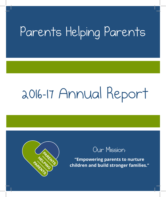# Parents Helping Parents

# 2016-17 Annual Report



# Our Mission:

**"Empowering parents to nurture children and build stronger families."**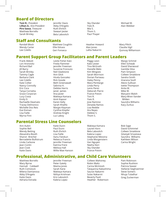#### **Board of Directors**

**Toni R.**, *President*  **Lillian A.**, *Vice-President* **Piro Sassa**, *Treasurer*  Matthew Borrello Sarah Brinley

Jennifer Davis Abby D'Angelo Ruth Ehrlich Stewart Jester Bela Labovitch

#### Sky Olander Yves R. Mia S. Thom S. Paul Thayer

Michael W. Alan Webber

#### **Staff and Consultants**

Randall Block Wendy Carter Lee Colello

Matthew Coughlin Ellie Edraos Geri Fonseca

Heather Howard Alan Jones Lalita Nakarmi

Mary Piltch Claudia Vigil Quincey Williamson

Margo Schmid

#### **Parent Support Group Facilitators and Parent Leaders**

Frank Abbott Lori Aronovitz Richard Bail Jill Barry Sarah Brinley Tammy Cagle Barbara Clark Lee Colello Kate Collier Nancy Connolly Eric Cora Tanya Cornetta Grace Corporan Lucy Costa Emily D. Rachaelle Deamato Tracey Delmonico Michelle Dos Reis Eve Eisman Lisa Faille Myrna Finn

Leslie Fisher-Katz Freda Flammer Jennifer Freeman Suzanne Fronzuto Neil Gladstone Ann Glick Hicela Gonzalez Rick Goode Beth Greenawalt Sabrina H. Debbie Harris Janet James Ana Javier Makieya Kamara Amit Kapoor Karen Kelly Sarah Khalifa Margie Klayman Cynthia Klopfer Andrew Knight Luz Laboy

Peggy Leon Kate Lester Tina McGrath Vianelle Melo Kim Mingoes Sarah Morrison Dorian Pariseau Haley Penny Mara Pentlarge Linda Perry Lenis Perez Deborah Pierre France Potvin Toni R. Yves R. Jose Ramirez Zenaida Ramos Lisa Reddie Ara Reyes Debbie S. Thom S.

Ellen Schwab David Sherwood Ivanilda Silva Pam Simpson Colleen Smaldone Sandra Smith Imarana Soofi Alexis Sullivan Ivette Thompson Anita W. Mike W. Maryann Walsh Mary-Wren Vander Wilden Saundra Williams Kacy Zurkus

#### **Parental Stress Line Counselors**

Ann Aubin Sophie Bell Wendy Betting Alexandra Booth Sharon Brecher Bernadette Bullistrum Linda Carbone Jean Conlin Jean Cook Katie Davis

Katie Dunn Paul Dunn Ruth Ehrlich Lisa Faille Aanu Fatokun Rebecca Francis Jennifer Freeman Katrina Frere Melissa Hall Willie Mae Hanson

Makieya Kamara Lauren Korn Bela Labovitch Kalena Lopez Stephanie Messina Linda Morgenstern Van Nguyen Neeha Nori Sky Olander France Potvin

Bob Sage David Schimmel Colleen Smaldone Gitanjali Srivastava Saundra Williams Kathleen Wilson Carina Wright

#### **Professional, Administrative, and Child Care Volunteers**

Matthew Borrello Mary Byrne Hannah Caldwell Ruth Comstock Milena Damianova Abby D'Angelo Katie Davis Adriana Estrada

Jennifer Freeman Peter Gately Maima Jones Sarah Kane Makieya Kamara Nithya Krishnan Kris Labovitch Kalena Lopez

Colleen Mahoney Robin Maltz Carina McIntosh Tatayanna Nakashima Saurav Nakarmi Sulav Nakarmi Beverly Paoli Heather Robertson

Pam Robinson Sophie Rushton Patricia Seaver Stefanie Sieghoertner Steve Somers Nhuja Tuladhar Greg Zuckerman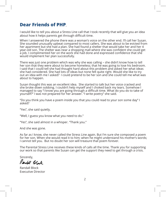### **Dear Friends of PHP**,

I would like to tell you about a Stress Line call that I took recently that will give you an idea about how it helps parents get through difficult time.

When I answered the phone there was a woman's voice on the other end. I'll call her Susan. She sounded unusually upbeat compared to most callers. She was about to be evicted from her apartment but she had a plan. She had found a shelter that would take her and her 4 year-old son. The shelter was near a shopping mall where she was confident she could get a job. I complimented her on the work she had done and expressed confidence that she would implement her plan successfully.

There was just one problem which was why she was calling – she didn't know how to tell her son that they were about to become homeless; that he was going to lose his bedroom. I said that I could tell she had thought hard about this problem and asked her what ideas she had considered. She had lots of ideas but none felt quite right. Would she like to try out an idea with me I asked? I could pretend to be her son and she could tell me what was about to happen.

Susan thought this was an excellent idea. She started to talk but her voice cracked and she broke down sobbing. I couldn't help myself and I choked back my tears. Somehow I managed to say "I know you are going through a difficult time. What do you do to take of yourself?" I was not prepared for her answer. "I write poetry" she said.

"Do you think you have a poem inside you that you could read to your son some day" I asked?

"Yes", she said quietly.

"Well, I guess you know what you need to do."

"Yes", she said almost in a whisper. "Thank you."

And she was gone.

As far as I know, she never called the Stress Line again. But I'm sure she composed a poem for her son. When she would read it to him; when he might understand his mother's words; I cannot tell you. But no doubt her son will treasure that poem forever.

The Parental Stress Line receives these kinds of calls all the time. Thank you for supporting our work so that parents like Susan can get the support they need to get through a crisis.

Sincerely,

Rendall Black

Randall Block Executive Director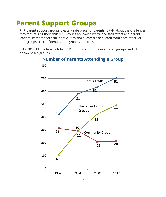#### **Parent Support Groups PARENT SUPPORT GROUPS** PHP parent support groups create a safe place for parents to talk about the challenges they face  $\epsilon$

PHP parent support groups create a safe place for parents to talk about the challenges they face raising their children. Groups are co-led by trained facilitators and parent leaders. Parents share their difficulties and successes and learn from each other. All PHP groups are confidential, anonymous, and free. In FY 2017, PHP offered a total of 31 groups: 20 community-

In FY 2017, PHP offered a total of 31 groups: 20 community-based groups and 11 prison-based groups.



### **Number of Parents Attending a Group**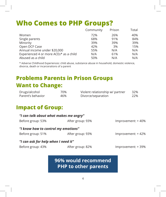# **Who Comes to PHP Groups?**

|                                        | Community | Prison | Total |
|----------------------------------------|-----------|--------|-------|
| Women                                  | 72%       | 26%    | 40%   |
| Single parents                         | 68%       | 91%    | 84%   |
| Minority                               | 39%       | 39%    | 39%   |
| Open DCF Case                          | 42%       | 3%     | 15%   |
| Annual income under \$20,000           | 55%       | N/A    | N/A   |
| Experienced 4 or more ACEs* as a child | N/A       | 61%    | N/A   |
| Abused as a child                      | 50%       | N/A    | N/A   |

\* Adverse Childhood Experiences: child abuse, substance abuse in household, domestic violence, divorce, death or incarcerations of a parent

# **Problems Parents in Prison Groups Want to Change:**

| Drugs/alcohol     | 70% | Violent relationship w/ partner | 32% |
|-------------------|-----|---------------------------------|-----|
| Parent's behavior | 46% | Divorce/separation              | 22% |

### **Impact of Group:**

| "I can talk about what makes me angry" |                  |                    |
|----------------------------------------|------------------|--------------------|
| Before group: 53%                      | After group: 93% | Improvement: +40%  |
| "I know how to control my emotions"    |                  |                    |
| Before group: 51%                      | After group: 93% | Improvement: +42%  |
| "I can ask for help when I need it"    |                  |                    |
| Before group: 43%                      | After group: 82% | Improvement: + 39% |

### **96% would recommend PHP to other parents**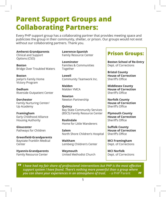# **Parent Support Groups and Collaborating Partners:**

Every PHP support group has a collaborating partner that provides meeting space and publicizes the group in their community, shelter, or prison. Our groups would not exist without our collaborating partners. Thank you.

#### **Amherst-Grandparents**

Clinical and Support Options (CSO)

**Boston**  Bridge Over Troubled Waters

**Boston** Joelyn's Family Home Victory Program

**Dedham** Riverside Outpatient Center

**Dorchester** Family Nurturing Center/ Up Academy

**Framingham** Early Childhood Alliance Housing Authority

**Gloucester** Pathways for Children

**Greenfield-Grandparents** Baystate Franklin Medical Center

**Hyannis-Grandparents** Family Resource Center

**Lawrence-Spanish** Family Resource Center

**Leominster** Families & Communities Together

**Lowell** Community Teamwork Inc.

**Malden** Malden YMCA

**Newton** Newton Partnership

**Quincy** Bay State Community Services (BSCS) Family Resource Center

**Roslindale** Home for Little Wanderers

**Salem** North Shore Children's Hospital

**Waltham** Lemberg Children's Center

**Weymouth** United Methodist Church

### **Prison Groups:**

**Boston School of Re-Entry** Dept. of Corrections

**Bristol County House of Correction**  Sheriff's Office

**Middlesex County House of Correction** Sheriff's Office

**Norfolk County House of Correction** Sheriff's Office

**Plymouth County House of Correction**  Sheriff's Office

**Suffolk County House of Correction** Sheriff's Office

**MCI Framingham** Dept. of Corrections

**MCI Norfolk** Dept. of Corrections

*I have had my fair share of professional interventions but PHP is the most effective support system I have found. There's nothing more powerful than a group where you can share your experiences in an atmosphere of trust.* - a PHP Parent **" "**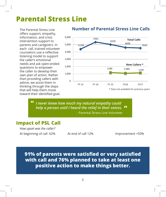#### **Parental Stress Line**  $\sim$  steps that will help the move toward the move toward the move toward the move toward the move toward the move

The Parental Stress Line offers support, empathy, information, and crisis intervention support to parents and caregivers. In each call, trained volunteer counselors use a reflective listening model to support the caller's emotional needs and ask open-ended questions to empower the caller to develop their own plan of action. Rather than providing callers with advice, we assist them in thinking through the steps that will help them move toward their identified goal.



## **Number of Parental Stress Line Calls Number of Parental Stress Line calls**

*I never knew how much my natural empathy could*  "I never knew how much my natural empathy could help a person *help a person until I heard the relief in their voices.*  **"** vinden in yndeard empachy coula

- Parental Stress Line Volunteer

### **Impact of PSL Call**

**"**

*How upset was the caller?* At beginning of call 62% At end of call 12% Improvement +50%

At end of call 12%

**91% of parents were satisfied or very satisfied with call and 76% planned to take at least one positive action to make things better.**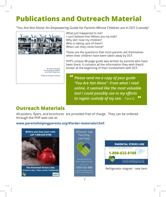# **Publications and Outreach Material**

"You Are Not Alone: An Empowering Guide for Parents Whose Children are in DCF Custody"



What just happened to me? I can't believe this! Where are my kids? ream coeneve and where are my<br>Why did I lose my children?<br>Who is taking care of them? Who is taking care of them? When can they come home?<br>These are the questions that

These are the questions that most parents ask themselves when their children have been taken away by DCF.

PHP's unique 48-page guide was written by parents who have been there. It contains all the information they wish they'd known at the beginning of their involvement with DCF.

*Please send me a copy of your guide "You Are Not Alone". From what I read online, it seemed like the most valuable tool I could possibly use in my efforts to regain custody of my son.* - Tara G. **" "**

### **Outreach Materials**

**Car Frach March 1915**<br>All posters, flyers, and brochures are provided free of charge. They can be ordered Air posters, rivers, and brochure<br>through the PHP web site at<mark>:</mark>

Parental Stress Line

**www.parentshelpingparents.org/#!order-materials/chnf. confidential** 1-800-632-8188







Refrigerator magnet - new item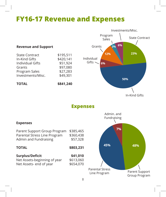# **FY16-17 Revenue and Expenses**

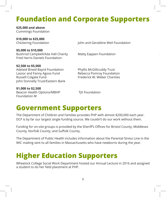# **Foundation and Corporate Supporters**

**\$25,000 and above** Cummings Foundation

**\$10,000 to \$25,000**

Chickering Foundation John and Geraldine Weil Foundation

**\$5,000 to \$10,000** Bushrod Campbell/Ada Hall Charity Matty Eappen Foundation Fred Harris Daniels Foundation

**\$2,500 to \$5,000** Adelaid Breed Bayrd Foundation Phyllis McGillicuddy Trust Lassor and Fanny Agoos Fund Rebecca Pomroy Foundation Russell Colgate Fund Frederick W. Weber Charities John Donnelly Trust/Eastern Bank

**\$1,000 to \$2,500** Beacon Health Options/MBHP TIX Foundation Foundation M

# **Government Supporters**

The Department of Children and Families provides PHP with almost \$200,000 each year. DCF is by far our largest single funding source. We couldn't do our work without them.

Funding for on-site groups is provided by the Sheriff's Offices for Bristol County, Middlesex County, Norfolk County, and Suffolk County.

The Department of Public Health includes information about the Parental Stress Line in the WIC mailing sent to all families in Massachusetts who have newborns during the year.

# **Higher Education Supporters**

Wheelock College Social Work Department hosted our Annual Lecture in 2016 and assigned a student to do her field placement at PHP.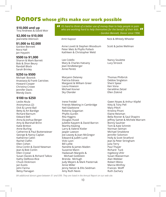### **Donors whose gifts make our work possible**

**\$10,000 and up** Tina Andrews & David Moir

### **\$2,000 to \$10,000**

#### **\$1,000 to \$2,000**

Gordon Bennett Nora Hall Jan Hayashi

#### **\$500 to \$1,000**

Sharon & Mark Barrett Bob & Shon Beury Randall Block Sarah Brinley

#### **\$250 to \$500**

Michael Bosnick Anastasia & Frank Catrickes Howard Cooper Christina Crowe Jennifer Davis Wendy Davis

#### **\$100 to \$250**

Leslie Akula Anonymous (2) Dick & Lynne Bail Betty & Art Bardige Richard Barnum Edward Bell Anna & Joshua Berger Amy & Marshall Brinn Katie Britton Anne Burling Catherine & Paul Buttenwieser George & Nancy Caplan Katherine Catlin Rachel Claflin Ellen Cohen Dina Conlin & David Newman Jean & Bob Conlin Ellen Crystal Susan Davies & Richard Talkov Kathy DelRossi-Rice Chuck Dickinson Jan Eustis John Farina Betsy Flanagan

If's hard to think of a better use of money than to help people in pain who are working hard to help themselves for the benefit of their kids. *who are working hard to help themselves for the benefit of their kids.* **"**  *- Gordon Bennett, Donor since 1996*

Anne Lovett & Stephen Woodsum Peter Metz & Phyllis Pollack Kathleen & Christopher Weld

Lee Colello Mary & Charles Hatvany Jean Kindleberger Anne Peretz

Maryann Delaney Patricia Edraos Margaret & William Greer Laura Howson Michael Kovner Sky Olander

Irene Freidel Friends Meeting in Cambridge Neil Gladstone Roberta Goganian Phyllis Gurdin Rita Higgins Douglas Husid Juliette Kayyem & David Barron Martha Keating Larry & Valerie Kistler Jasper Lawson Joe Leavey & Joan McGregor Edward & Judith Lund Vicki Lyon Bill Lyttle Nanette & James Maden Suzanne Mann Hadassah Margolis & Michael Goldstein Brenda McHugh Judy Meyers & Mark Pasternak Anne Miller Jenny Netzer & Ellis Seidman Amy Ruth Nevis

Amit Kapoor **Nick & Whitely Wheeler** 

Scott & Jackie Wellman

Nancy Soulette Lucy Stroock

Thomas Philbrick Debbie Singleton Sherii Spear Ken Vona Geraldine Zetzel Ellen Ziskind

Gwen Noyes & Arthur Klipfel Kitty & Tony Pell Mary Piltch Kristina Pirani Elaine Reisman Bella Rosner & Saul Shapiro Jeffrey Samet & Michele Marram Bonny Saulnier Tom & Kate Schmitt Norman Seiman Michael Smaldone Jennifer Solomon Holly & Scott Stratford Jean & Peter Stringham Julia Terry Paul Thayer Richard Tuck Ingeborg Uhlir Susan Wasserman Alan Webber Robert Weiss Marcia Winfrey Frances Wolff Ruth Zachary

*84 additional donors gave between \$1 and \$99. They are listed in the Annual Report on our web site.*